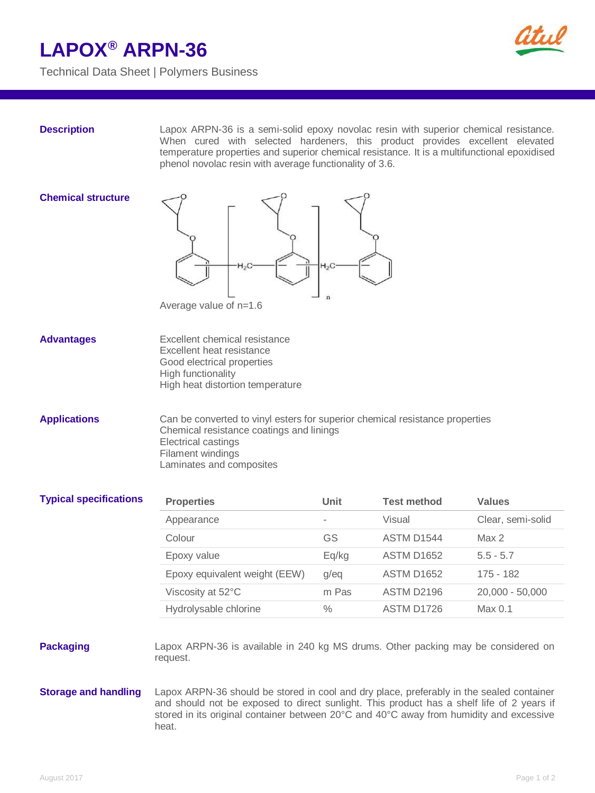## **LAPOX® ARPN-36**



Technical Data Sheet | Polymers Business

**Description** Lapox ARPN-36 is a semi-solid epoxy novolac resin with superior chemical resistance. When cured with selected hardeners, this product provides excellent elevated temperature properties and superior chemical resistance. It is a multifunctional epoxidised phenol novolac resin with average functionality of 3.6.

### **Chemical structure**



Advantages Excellent chemical resistance Excellent heat resistance Good electrical properties High functionality High heat distortion temperature

**Applications** Can be converted to vinyl esters for superior chemical resistance properties Chemical resistance coatings and linings Electrical castings Filament windings Laminates and composites

| <b>Typical specifications</b> | <b>Properties</b>             | Unit          | <b>Test method</b>     | <b>Values</b>      |
|-------------------------------|-------------------------------|---------------|------------------------|--------------------|
|                               | Appearance                    | ٠             | Visual                 | Clear, semi-solid  |
|                               | Colour                        | GS            | ASTM D1544             | Max 2              |
|                               | Epoxy value                   | Eq/kg         | <b>ASTM D1652</b>      | $5.5 - 5.7$        |
|                               | Epoxy equivalent weight (EEW) | g/eq          | ASTM D <sub>1652</sub> | 175 - 182          |
|                               | Viscosity at 52°C             | m Pas         | ASTM D2196             | $20,000 - 50,000$  |
|                               | Hydrolysable chlorine         | $\frac{0}{0}$ | ASTM D1726             | Max <sub>0.1</sub> |
|                               |                               |               |                        |                    |

### **Packaging** Lapox ARPN-36 is available in 240 kg MS drums. Other packing may be considered on request.

**Storage and handling** Lapox ARPN-36 should be stored in cool and dry place, preferably in the sealed container and should not be exposed to direct sunlight. This product has a shelf life of 2 years if stored in its original container between 20°C and 40°C away from humidity and excessive heat.